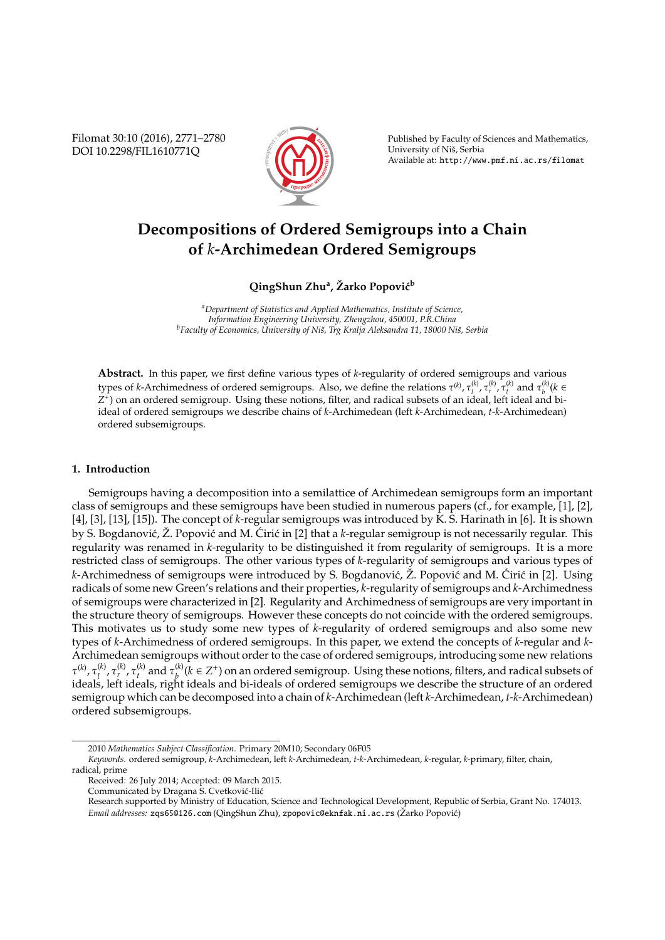Filomat 30:10 (2016), 2771–2780 DOI 10.2298/FIL1610771Q



Published by Faculty of Sciences and Mathematics, University of Niš, Serbia Available at: http://www.pmf.ni.ac.rs/filomat

# **Decompositions of Ordered Semigroups into a Chain of** *k***-Archimedean Ordered Semigroups**

# $\mathbf{Q}$ ingShun Zhu<sup>a</sup>, Žarko Popović $^{\text{b}}$

*<sup>a</sup>Department of Statistics and Applied Mathematics, Institute of Science, Information Engineering University, Zhengzhou, 450001, P.R.China* <sup>*b*</sup>Faculty of Economics, University of Niš, Trg Kralja Aleksandra 11, 18000 Niš, Serbia

**Abstract.** In this paper, we first define various types of *k*-regularity of ordered semigroups and various types of *k*-Archimedness of ordered semigroups. Also, we define the relations  $\tau^{(k)}$ ,  $\tau^{(k)}_t$ ,  $\tau^{(k)}_r$ ,  $\tau^{(k)}_t$  and  $\tau^{(k)}_b$  (*k* ∈ *Z* + ) on an ordered semigroup. Using these notions, filter, and radical subsets of an ideal, left ideal and biideal of ordered semigroups we describe chains of *k*-Archimedean (left *k*-Archimedean, *t*-*k*-Archimedean) ordered subsemigroups.

# **1. Introduction**

Semigroups having a decomposition into a semilattice of Archimedean semigroups form an important class of semigroups and these semigroups have been studied in numerous papers (cf., for example, [1], [2], [4], [3], [13], [15]). The concept of *k*-regular semigroups was introduced by K. S. Harinath in [6]. It is shown by S. Bogdanović, Ž. Popović and M. Ćirić in [2] that a k-regular semigroup is not necessarily regular. This regularity was renamed in *k*-regularity to be distinguished it from regularity of semigroups. It is a more restricted class of semigroups. The other various types of *k*-regularity of semigroups and various types of *k*-Archimedness of semigroups were introduced by S. Bogdanović,  $\check{Z}$ . Popović and M. Ćirić in [2]. Using radicals of some new Green's relations and their properties, *k*-regularity of semigroups and *k*-Archimedness of semigroups were characterized in [2]. Regularity and Archimedness of semigroups are very important in the structure theory of semigroups. However these concepts do not coincide with the ordered semigroups. This motivates us to study some new types of *k*-regularity of ordered semigroups and also some new types of *k*-Archimedness of ordered semigroups. In this paper, we extend the concepts of *k*-regular and *k*-Archimedean semigroups without order to the case of ordered semigroups, introducing some new relations τ (*k*) , τ (*k*) *l* , τ (*k*) *r* , τ (*k*)  $\tau_t^{(k)}$  and  $\tau_b^{(k)}$  $b^{(k)}$  (*k* ∈ *Z*<sup>+</sup>) on an ordered semigroup. Using these notions, filters, and radical subsets of ideals, left ideals, right ideals and bi-ideals of ordered semigroups we describe the structure of an ordered semigroup which can be decomposed into a chain of *k*-Archimedean (left *k*-Archimedean, *t*-*k*-Archimedean) ordered subsemigroups.

<sup>2010</sup> *Mathematics Subject Classification*. Primary 20M10; Secondary 06F05

*Keywords*. ordered semigroup, *k*-Archimedean, left *k*-Archimedean, *t*-*k*-Archimedean, *k*-regular, *k*-primary, filter, chain,

radical, prime

Received: 26 July 2014; Accepted: 09 March 2015.

Communicated by Dragana S. Cvetković-Ilić

Research supported by Ministry of Education, Science and Technological Development, Republic of Serbia, Grant No. 174013. *Email addresses:* zqs65@126.com (QingShun Zhu), zpopovic@eknfak.ni.ac.rs (Žarko Popović)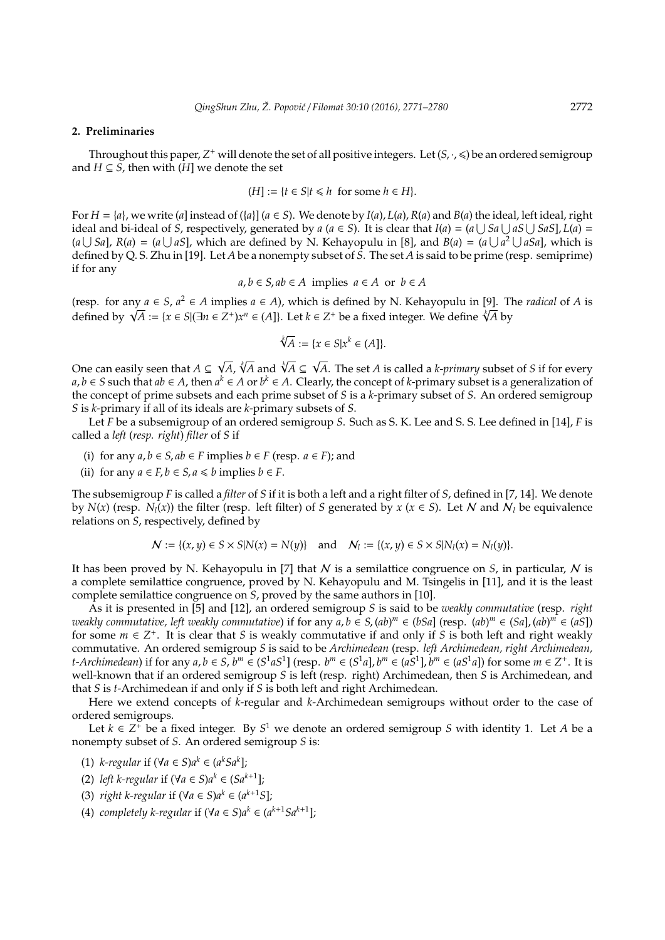### **2. Preliminaries**

Throughout this paper,  $Z^+$  will denote the set of all positive integers. Let  $(S, \cdot, \leqslant)$  be an ordered semigroup and  $H \subseteq S$ , then with  $(H]$  we denote the set

$$
(H] := \{ t \in S | t \le h \text{ for some } h \in H \}.
$$

For  $H = \{a\}$ , we write (*a*] instead of ( $\{a\}$ ] ( $a \in S$ ). We denote by  $I(a)$ ,  $L(a)$ ,  $R(a)$  and  $B(a)$  the ideal, left ideal, right ideal and bi-ideal of *S*, respectively, generated by *a* (*a*  $\in$  *S*). It is clear that *I*(*a*) = (*a*  $\cup$  *Sa*  $\cup$  *aS*  $\cup$  *SaS*], *L*(*a*) = (*a*  $\bigcup$  *Sa*], *R*(*a*) = (*a*  $\bigcup$  *aS*], which are defined by N. Kehayopulu in [8], and *B*(*a*) = (*a*  $\bigcup$  *a<sup>2</sup>*  $\bigcup$  *aSa*], which is defined by Q. S. Zhu in [19]. Let *A* be a nonempty subset of *S*. The set *A* is said to be prime (resp. semiprime) if for any

$$
a, b \in S, ab \in A
$$
 implies  $a \in A$  or  $b \in A$ 

(resp. for any  $a \in S$ ,  $a^2 \in A$  implies  $a \in A$ ), which is defined by N. Kehayopulu in [9]. The *radical* of *A* is (resp. for any *a* ∈ *S*, *a*<sup>2</sup> ∈ *A* implies *a* ∈ *A*), which is defined by N. Kehayopulu in [9]. If defined by  $\sqrt{A}$  := {*x* ∈ *S*|(∃*n* ∈ Z<sup>+</sup>)*x*<sup>*n*</sup> ∈ (*A*]}. Let *k* ∈ Z<sup>+</sup> be a fixed integer. We define  $\sqrt[4]{$ 

$$
\sqrt[k]{A} := \{x \in S | x^k \in (A] \}.
$$

√

One can easily seen that *A* ⊆ *A*,  $\sqrt[k]{A}$  and  $\sqrt[k]{A}$  ⊆ *A*. The set *A* is called a *k-primary* subset of *S* if for every *a*, *b* ∈ *S* such that *ab* ∈ *A*, then *a*<sup>*k*</sup> ∈ *A* or *b*<sup>*k*</sup> ∈ *A*. Clearly, the concept of *k*-primary subset is a generalization of the concept of prime subsets and each prime subset of *S* is a *k*-primary subset of *S*. An ordered semigroup *S* is *k*-primary if all of its ideals are *k*-primary subsets of *S*.

Let *F* be a subsemigroup of an ordered semigroup *S*. Such as S. K. Lee and S. S. Lee defined in [14], *F* is called a *left* (*resp. right*) *filter* of *S* if

- (i) for any  $a, b \in S$ ,  $ab \in F$  implies  $b \in F$  (resp.  $a \in F$ ); and
- (ii) for any  $a \in F$ ,  $b \in S$ ,  $a \le b$  implies  $b \in F$ .

The subsemigroup *F* is called a *filter* of *S* if it is both a left and a right filter of *S*, defined in [7, 14]. We denote by  $N(x)$  (resp.  $N_l(x)$ ) the filter (resp. left filter) of *S* generated by  $x$  ( $x \in S$ ). Let N and  $N_l$  be equivalence relations on *S*, respectively, defined by

$$
\mathcal{N} := \{(x, y) \in S \times S | N(x) = N(y) \} \text{ and } \mathcal{N}_l := \{(x, y) \in S \times S | N_l(x) = N_l(y) \}.
$$

It has been proved by N. Kehayopulu in [7] that N is a semilattice congruence on *S*, in particular, N is a complete semilattice congruence, proved by N. Kehayopulu and M. Tsingelis in [11], and it is the least complete semilattice congruence on *S*, proved by the same authors in [10].

As it is presented in [5] and [12], an ordered semigroup *S* is said to be *weakly commutative* (resp. *right weakly commutative, left weakly commutative*) if for any *a*, *b* ∈ *S*, (*ab*) *<sup>m</sup>* ∈ (*bSa*] (resp. (*ab*) *<sup>m</sup>* ∈ (*Sa*], (*ab*) *<sup>m</sup>* ∈ (*aS*]) for some  $m \in \mathbb{Z}^+$ . It is clear that *S* is weakly commutative if and only if *S* is both left and right weakly commutative. An ordered semigroup *S* is said to be *Archimedean* (resp. *left Archimedean, right Archimedean, t-Archimedean*) if for any  $a, b \in S$ ,  $b^m \in (S^1 aS^1]$  (resp.  $b^m \in (S^1 a]$ ,  $b^m \in (aS^1 a]$ ,  $b^m \in (aS^1 a]$ ) for some  $m \in Z^+$ . It is well-known that if an ordered semigroup *S* is left (resp. right) Archimedean, then *S* is Archimedean, and that *S* is *t*-Archimedean if and only if *S* is both left and right Archimedean.

Here we extend concepts of *k*-regular and *k*-Archimedean semigroups without order to the case of ordered semigroups.

Let  $k \in \mathbb{Z}^+$  be a fixed integer. By  $S^1$  we denote an ordered semigroup *S* with identity 1. Let *A* be a nonempty subset of *S*. An ordered semigroup *S* is:

- (1) *k*-*regular* if  $(\forall a \in S)a^k \in (a^kSa^k]$ ;
- (2) *left k*-regular if (∀ $a \in S$ ) $a^k \in (Sa^{k+1}]$ ;
- (3) *right k-regular* if  $(\forall a \in S)a^k \in (a^{k+1}S]$ ;
- (4) *completely k-regular* if (∀*a* ∈ *S*) $a^k$  ∈ ( $a^{k+1}$ *Sa*<sup> $k+1$ </sup>];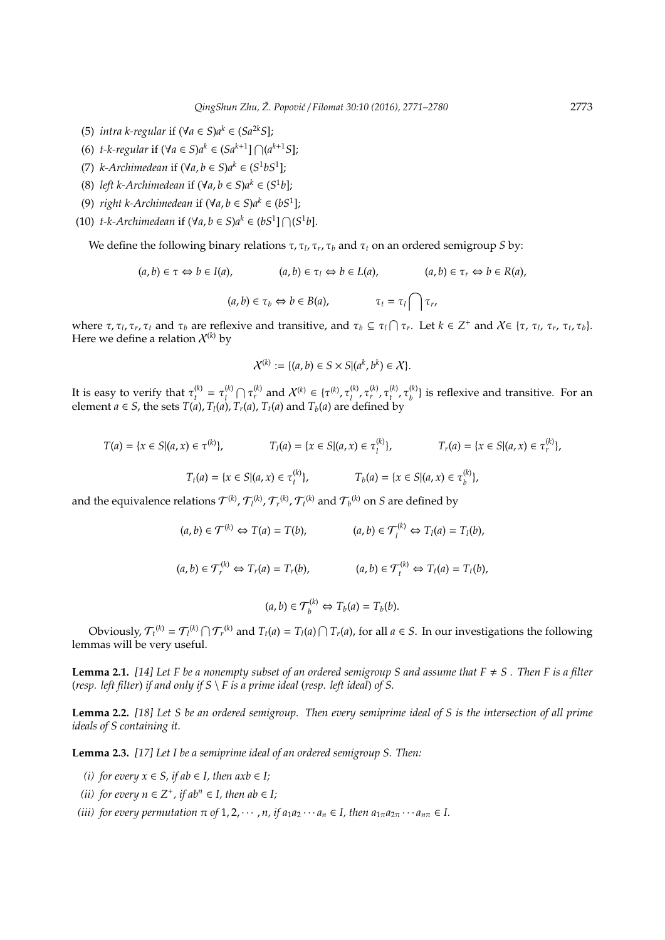- (5) *intra k-regular* if (∀*a* ∈ *S*) $a^k$  ∈ (*Sa*<sup>2k</sup>*S*];
- (6) *t*-*k*-regular if (∀a ∈ *S*) $a^k$  ∈ (*Sa*<sup> $k+1$ </sup>]  $\bigcap (a^{k+1}S]$ ;
- (7)  $k$ -Archimedean if  $(\forall a, b \in S)$  $a^k \in (S^1bS^1]$ ;
- (8) *left k*-*Archimedean* if  $(\forall a, b \in S)$  $a^k \in (S^1b]$ ;
- (9) *right k-Archimedean* if  $(\forall a, b \in S)$  $a^k \in (bS^1]$ ;
- (10) *t*-*k*-*Archimedean* if  $(\forall a, b \in S)$  $a^k \in (bS^1] \cap (S^1b]$ .

We define the following binary relations τ, τ*<sup>l</sup>* , τ*<sup>r</sup>* , τ*<sup>b</sup>* and τ*<sup>t</sup>* on an ordered semigroup *S* by:

$$
(a,b) \in \tau \Leftrightarrow b \in I(a), \qquad (a,b) \in \tau_l \Leftrightarrow b \in L(a), \qquad (a,b) \in \tau_r \Leftrightarrow b \in R(a),
$$

$$
(a,b) \in \tau_b \Leftrightarrow b \in B(a), \qquad \tau_t = \tau_l \bigcap \tau_r,
$$

where  $\tau$ ,  $\tau$ <sub>*l*</sub>,  $\tau$ <sub>*r*</sub>,  $\tau$ <sub>*t*</sub> and  $\tau$ <sub>*b*</sub> are reflexive and transitive, and  $\tau$ <sub>*b*</sub>  $\subseteq$   $\tau$ <sub>*l*</sub> $\cap$  $\tau$ <sub>*r*</sub>. Let  $k \in \mathbb{Z}^+$  and  $\chi \in \{\tau$ ,  $\tau$ <sub>*l*</sub>,  $\tau$ <sub>*t*</sub>,  $\tau$ <sub>*t*</sub>,  $\tau$ <sub>*b*</sub>). Here we define a relation  $\chi^{(k)}$  by

$$
\mathcal{X}^{(k)} := \{ (a, b) \in S \times S | (a^k, b^k) \in \mathcal{X} \}.
$$

It is easy to verify that  $\tau_t^{(k)} = \tau_l^{(k)}$  $\mathcal{X}^{(k)}$  ∩ τ<sup>(*k*</sup>)</sup> and  $\mathcal{X}^{(k)}$  ∈ {τ<sup>(*k*)</sup>, τ<sub>l</sub><sup>(*k*)</sup> *l* , τ (*k*) *r* , τ (*k*) *t* , τ (*k*)  $\binom{k}{b}$  is reflexive and transitive. For an element *a*  $\in$  *S*, the sets *T*(*a*), *T*<sub>*l*</sub>(*a*), *T*<sub>*t*</sub>(*a*), *T*<sub>*t*</sub>(*a*) and *T*<sub>*b*</sub>(*a*) are defined by

$$
T(a) = \{x \in S | (a, x) \in \tau^{(k)}\}, \qquad T_l(a) = \{x \in S | (a, x) \in \tau^{(k)}_l\}, \qquad T_r(a) = \{x \in S | (a, x) \in \tau^{(k)}_r\},
$$

$$
T_t(a) = \{x \in S | (a, x) \in \tau^{(k)}_t\}, \qquad T_b(a) = \{x \in S | (a, x) \in \tau^{(k)}_b\},
$$

and the equivalence relations  $\mathcal{T}^{(k)}$ ,  $\mathcal{T}^{(k)}_l$ ,  $\mathcal{T}^{(k)}_r$ ,  $\mathcal{T}^{(k)}_t$  and  $\mathcal{T}^{(k)}_b$  on  $S$  are defined by

$$
(a,b)\in \mathcal{T}^{(k)} \Leftrightarrow T(a)=T(b), \qquad (a,b)\in \mathcal{T}_l^{(k)} \Leftrightarrow T_l(a)=T_l(b),
$$

 $(a, b) \in \mathcal{T}_r^{(k)} \Leftrightarrow T_r(a) = T_r(b),$   $(a, b) \in \mathcal{T}_t^{(k)} \Leftrightarrow T_t(a) = T_t(b),$ 

$$
(a,b)\in \mathcal{T}_b^{(k)} \Leftrightarrow T_b(a)=T_b(b).
$$

Obviously,  $\mathcal{T}_t^{(k)} = \mathcal{T}_l^{(k)} \cap \mathcal{T}_r^{(k)}$  and  $T_t(a) = T_l(a) \cap T_r(a)$ , for all  $a \in S$ . In our investigations the following lemmas will be very useful.

**Lemma 2.1.** [14] Let F be a nonempty subset of an ordered semigroup S and assume that  $F \neq S$ . Then F is a filter (*resp. left filter*) *if and only if S* \ *F is a prime ideal* (*resp. left ideal*) *of S.*

**Lemma 2.2.** *[18] Let S be an ordered semigroup. Then every semiprime ideal of S is the intersection of all prime ideals of S containing it.*

**Lemma 2.3.** *[17] Let I be a semiprime ideal of an ordered semigroup S. Then:*

- *(i)* for every  $x \in S$ , if ab  $\in I$ , then  $axb \in I$ ;
- *(ii)* for every  $n \in \mathbb{Z}^+$ , if ab<sup>*n*</sup> ∈ *I*, then ab ∈ *I*;
- *(iii)* for every permutation  $\pi$  of  $1, 2, \cdots, n$ , if  $a_1 a_2 \cdots a_n \in I$ , then  $a_{1\pi} a_{2\pi} \cdots a_{n\pi} \in I$ .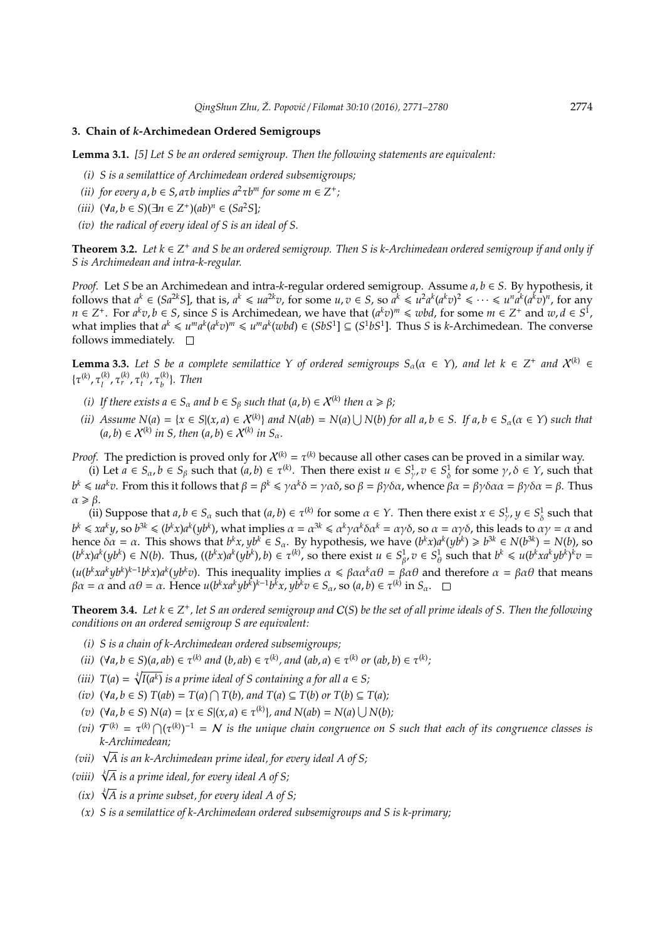## **3. Chain of** *k***-Archimedean Ordered Semigroups**

**Lemma 3.1.** *[5] Let S be an ordered semigroup. Then the following statements are equivalent:*

- *(i) S is a semilattice of Archimedean ordered subsemigroups;*
- (*ii*) for every  $a, b \in S$ ,  $a \tau b$  implies  $a^2 \tau b^m$  for some  $m \in \mathbb{Z}^+$ ;
- (*iii*)  $(∀a, b ∈ S)(∃n ∈ Z<sup>+</sup>)(ab)<sup>n</sup> ∈ (Sa<sup>2</sup>S);$
- *(iv) the radical of every ideal of S is an ideal of S.*

**Theorem 3.2.** *Let k* ∈ *Z* + *and S be an ordered semigroup. Then S is k-Archimedean ordered semigroup if and only if S is Archimedean and intra-k-regular.*

*Proof.* Let *S* be an Archimedean and intra-*k*-regular ordered semigroup. Assume *a*, *b* ∈ *S*. By hypothesis, it follows that  $a^k \in (Sa^{2k}S]$ , that is,  $a^k \leq u a^{2k}v$ , for some  $u, v \in S$ , so  $a^k \leq u^2 a^k (a^k v)^2 \leq \cdots \leq u^n a^k (a^k v)^n$ , for any  $n \in \mathbb{Z}^+$ . For  $a^k v, b \in S$ , since S is Archimedean, we have that  $(a^k v)^m \leq wbd$ , for some  $m \in \mathbb{Z}^+$  and  $w, d \in S^1$ , what implies that  $a^k \leq u^m a^k (a^k v)^m \leq u^m a^k (wbd) \in (SbS^1] \subseteq (S^1bS^1]$ . Thus S is k-Archimedean. The converse follows immediately.  $\square$ 

**Lemma 3.3.** Let S be a complete semilattice Y of ordered semigroups  $S_\alpha(\alpha \in Y)$ , and let  $k \in Z^+$  and  $X^{(k)} \in Z$ {τ (*k*) , τ (*k*) *l* , τ (*k*) *r* , τ (*k*) *t* , τ (*k*) *b* }*. Then*

- *(i)* If there exists  $a \in S_\alpha$  and  $b \in S_\beta$  such that  $(a, b) \in X^{(k)}$  then  $\alpha \geq \beta$ ;
- (ii) Assume  $N(a) = \{x \in S | (x, a) \in X^{(k)}\}$  and  $N(ab) = N(a) \cup N(b)$  for all  $a, b \in S$ . If  $a, b \in S_\alpha (\alpha \in Y)$  such that  $(a, b) \in X^{(k)}$  in S, then  $(a, b) \in X^{(k)}$  in  $S_\alpha$ .

*Proof.* The prediction is proved only for  $X^{(k)} = \tau^{(k)}$  because all other cases can be proved in a similar way.

(i) Let  $a \in S_\alpha$ ,  $b \in S_\beta$  such that  $(a, b) \in \tau^{(k)}$ . Then there exist  $u \in S^1_\gamma$ ,  $v \in S^1_\delta$  for some  $\gamma$ ,  $\delta \in \Upsilon$ , such that δ *b<sup>k</sup>* ≤ *ua<sup>k</sup>v*. From this it follows that  $β = β^k ≤ γα^kδ = γαδ$ , so  $β = βγδα$ , whence  $βα = βγδαα = βγδα = β$ . Thus  $\alpha \geqslant \beta$ .

(ii) Suppose that  $a, b \in S_\alpha$  such that  $(a, b) \in \tau^{(k)}$  for some  $\alpha \in Y$ . Then there exist  $x \in S^1_\gamma, y \in S^1_\delta$  such that  $b^k \leq x a^k y$ , so  $b^{3k} \leq (b^k x) a^k (yb^k)$ , what implies  $\alpha = \alpha^{3k} \leq a^k \gamma a^k \delta \alpha^k = \alpha \gamma \delta$ , so  $\alpha = \alpha \gamma \delta$ , this leads to  $\alpha \gamma = \alpha$  and hence  $\delta \alpha = \alpha$ . This shows that  $b^k x$ ,  $yb^k \in S_\alpha$ . By hypothesis, we have  $(b^k x)a^k(yb^k) \geq b^{3k} \in N(b^{3k}) = N(b)$ , so  $(b^kx)a^k(yb^k) \in N(b)$ . Thus,  $((b^kx)a^k(yb^k), b) \in \tau^{(k)}$ , so there exist  $u \in S^1_{\beta}$ ,  $v \in S^1_{\beta}$  such that  $b^k \leq u(b^kxa^kyb^k)^k v =$  $(u(b^kxa^kyb^k)^{k-1}b^kx)a^k(yb^kv)$ . This inequality implies  $\alpha \leq \beta\alpha\alpha^k\alpha\theta = \beta\alpha\theta$  and therefore  $\alpha = \beta\alpha\theta$  that means  $\beta \alpha = \alpha$  and  $\alpha \theta = \alpha$ . Hence  $u(b^k x a^k y b^k)^{k-1} b^k x$ ,  $y b^k v \in S_\alpha$ , so  $(a, b) \in \tau^{(k)}$  in  $S_\alpha$ .

**Theorem 3.4.** Let  $k \in \mathbb{Z}^+$ , let S an ordered semigroup and  $C(S)$  be the set of all prime ideals of S. Then the following *conditions on an ordered semigroup S are equivalent:*

- *(i) S is a chain of k-Archimedean ordered subsemigroups;*
- (ii)  $(\forall a, b \in S)(a, ab) \in \tau^{(k)}$  and  $(b, ab) \in \tau^{(k)}$ , and  $(ab, a) \in \tau^{(k)}$  or  $(ab, b) \in \tau^{(k)}$ ;
- (*iii*)  $T(a) = \sqrt[k]{I(a^k)}$  *is a prime ideal of S containing a for all a*  $\in$  *S*;
- *(iv)*  $(\forall a, b \in S) T(ab) = T(a) ∩ T(b)$ , and  $T(a) ⊆ T(b)$  or  $T(b) ⊆ T(a)$ ;
- *(v)*  $(\forall a, b \in S) N(a) = {x \in S | (x, a) \in \tau^{(k)}}$ , and  $N(ab) = N(a) ∪ N(b)$ ;
- (*vi*)  $\mathcal{T}^{(k)} = \tau^{(k)} \cap (\tau^{(k)})^{-1} = \mathcal{N}$  is the unique chain congruence on S such that each of its congruence classes is *k-Archimedean;*
- *(vii)* <sup>√</sup> *A is an k-Archimedean prime ideal, for every ideal A of S;*
- *(viii)* <sup>√</sup>*<sup>k</sup> A is a prime ideal, for every ideal A of S;*
- *(ix)* <sup>√</sup>*<sup>k</sup> A is a prime subset, for every ideal A of S;*
- *(x) S is a semilattice of k-Archimedean ordered subsemigroups and S is k-primary;*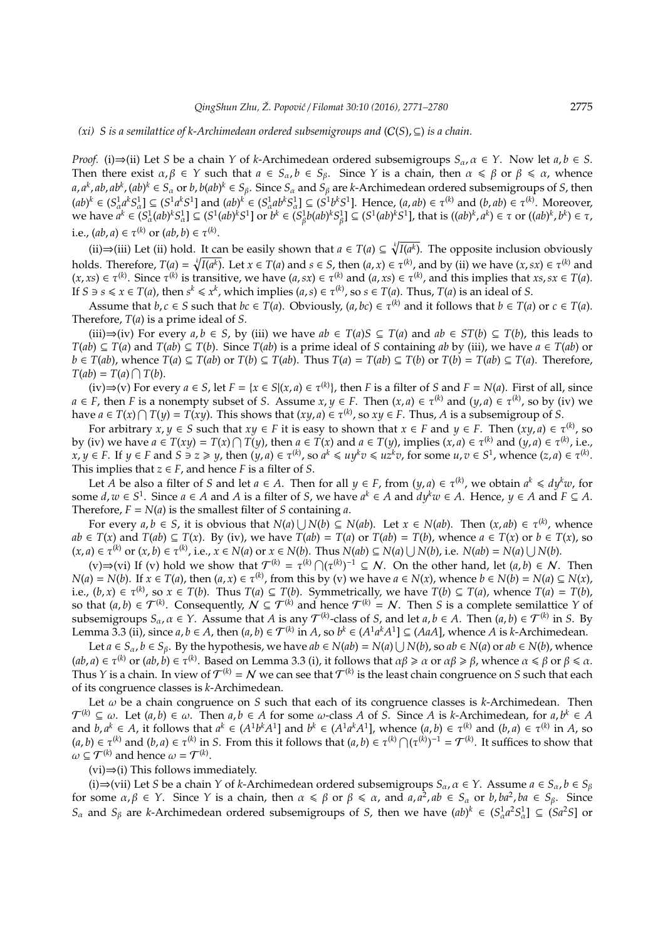# *(xi) S is a semilattice of k-Archimedean ordered subsemigroups and* (C(*S*),⊆) *is a chain.*

*Proof.* (i)⇒(ii) Let *S* be a chain *Y* of *k*-Archimedean ordered subsemigroups  $S_\alpha$ ,  $\alpha \in Y$ . Now let  $a, b \in S$ . Then there exist  $\alpha, \beta \in Y$  such that  $a \in S_\alpha$ ,  $b \in S_\beta$ . Since *Y* is a chain, then  $\alpha \leq \beta$  or  $\beta \leq \alpha$ , whence a, a<sup>k</sup>, ab, ab<sup>k</sup>, (ab)<sup>k</sup>  $\in$  S<sub>a</sub> or b, b(ab)<sup>k</sup>  $\in$  S<sub>β</sub>. Since S<sub>a</sub> and S<sub>β</sub> are k-Archimedean ordered subsemigroups of S, then  $(ab)^k \in (S^1_\alpha a^k S^1_\alpha] \subseteq (S^1 a^k S^1)$  and  $(ab)^k \in (S^1_\alpha ab^k S^1_\alpha] \subseteq (S^1 b^k S^1)$ . Hence,  $(a, ab) \in \tau^{(k)}$  and  $(b, ab) \in \tau^{(k)}$ . Moreover, we have  $a^k \in (S^1_\alpha(ab)^k S^1_\alpha] \subseteq (S^1(ab)^k S^1)$  or  $b^k \in (S^1_\beta b(ab)^k S^1_\beta] \subseteq (S^1(ab)^k S^1)$ , that is  $((ab)^k, a^k) \in \tau$  or  $((ab)^k, b^k) \in \tau$ , i.e.,  $(ab, a) \in \tau^{(k)}$  or  $(ab, b) \in \tau^{(k)}$ .

(ii)⇒(iii) Let (ii) hold. It can be easily shown that  $a \in T(a) \subseteq \sqrt[k]{I(a^k)}$ . The opposite inclusion obviously holds. Therefore,  $T(a) = \sqrt[k]{I(a^k)}$ . Let  $x \in T(a)$  and  $s \in S$ , then  $(a, x) \in \tau^{(k)}$ , and by (ii) we have  $(x, sx) \in \tau^{(k)}$  and  $(x, xs) \in \tau^{(k)}$ . Since  $\tau^{(k)}$  is transitive, we have  $(a, sx) \in \tau^{(k)}$  and  $(a, xs) \in \tau^{(k)}$ , and this implies that  $xs, sx \in T(a)$ . If  $S \ni s \le x \in T(a)$ , then  $s^k \le x^k$ , which implies  $(a, s) \in T^{(k)}$ , so  $s \in T(a)$ . Thus,  $T(a)$  is an ideal of S.

Assume that  $b, c \in S$  such that  $bc \in T(a)$ . Obviously,  $(a, bc) \in \tau^{(k)}$  and it follows that  $b \in T(a)$  or  $c \in T(a)$ . Therefore, *T*(*a*) is a prime ideal of *S*.

(iii)⇒(iv) For every  $a, b \in S$ , by (iii) we have  $ab \in T(a)S \subseteq T(a)$  and  $ab \in ST(b) \subseteq T(b)$ , this leads to *T*(*ab*) ⊆ *T*(*a*) and *T*(*ab*) ⊆ *T*(*b*). Since *T*(*ab*) is a prime ideal of *S* containing *ab* by (iii), we have *a* ∈ *T*(*ab*) or  $b \in T(ab)$ , whence  $T(a) \subseteq T(ab)$  or  $T(b) \subseteq T(ab)$ . Thus  $T(a) = T(ab) \subseteq T(b)$  or  $T(b) = T(ab) \subseteq T(a)$ . Therefore,  $T(ab) = T(a) \cap T(b).$ 

(iv)⇒(v) For every *a* ∈ *S*, let *F* = {*x* ∈ *S*|(*x*, *a*) ∈  $\tau^{(k)}$ }, then *F* is a filter of *S* and *F* = *N*(*a*). First of all, since  $a \in F$ , then *F* is a nonempty subset of *S*. Assume  $x, y \in F$ . Then  $(x, a) \in \tau^{(k)}$  and  $(y, a) \in \tau^{(k)}$ , so by (iv) we have  $a \in T(x) \cap T(y) = T(xy)$ . This shows that  $(xy, a) \in \tau^{(k)}$ , so  $xy \in F$ . Thus, A is a subsemigroup of *S*.

For arbitrary  $x, y \in S$  such that  $xy \in F$  it is easy to shown that  $x \in F$  and  $y \in F$ . Then  $(xy, a) \in \tau^{(k)}$ , so by (iv) we have  $a \in T(xy) = T(x) \cap T(y)$ , then  $a \in T(x)$  and  $a \in T(y)$ , implies  $(x, a) \in \tau^{(k)}$  and  $(y, a) \in \tau^{(k)}$ , i.e.,  $x, y \in F$ . If  $y \in F$  and  $S \ni z \geq y$ , then  $(y, a) \in \tau^{(k)}$ , so  $a^k \leq u y^k v \leq u z^k v$ , for some  $u, v \in S^1$ , whence  $(z, a) \in \tau^{(k)}$ . This implies that  $z \in F$ , and hence *F* is a filter of *S*.

Let *A* be also a filter of *S* and let  $a \in A$ . Then for all  $y \in F$ , from  $(y, a) \in \tau^{(k)}$ , we obtain  $a^k \leq d y^k w$ , for some  $d, w \in S^1$ . Since  $a \in A$  and A is a filter of S, we have  $a^k \in A$  and  $dy^k w \in A$ . Hence,  $y \in A$  and  $F \subseteq A$ . Therefore,  $F = N(a)$  is the smallest filter of *S* containing *a*.

For every  $a, b \in S$ , it is obvious that  $N(a) \cup N(b) \subseteq N(ab)$ . Let  $x \in N(ab)$ . Then  $(x, ab) \in \tau^{(k)}$ , whence  $ab \in T(x)$  and  $T(ab) \subseteq T(x)$ . By (iv), we have  $T(ab) = T(a)$  or  $T(ab) = T(b)$ , whence  $a \in T(x)$  or  $b \in T(x)$ , so  $(x, a) \in \tau^{(k)}$  or  $(x, b) \in \tau^{(k)}$ , i.e.,  $x \in N(a)$  or  $x \in N(b)$ . Thus  $N(ab) \subseteq N(a) \cup N(b)$ , i.e.  $N(ab) = N(a) \cup N(b)$ .

 $(v) \Rightarrow$  (vi) If (v) hold we show that  $\mathcal{T}^{(k)} = \tau^{(k)} \cap (\tau^{(k)})^{-1} \subseteq \mathcal{N}$ . On the other hand, let  $(a, b) \in \mathcal{N}$ . Then  $N(a) = N(b)$ . If  $x \in T(a)$ , then  $(a, x) \in \tau^{(k)}$ , from this by (v) we have  $a \in N(x)$ , whence  $b \in N(b) = N(a) \subseteq N(x)$ , i.e.,  $(b, x) \in \tau^{(k)}$ , so  $x \in T(b)$ . Thus  $T(a) \subseteq T(b)$ . Symmetrically, we have  $T(b) \subseteq T(a)$ , whence  $T(a) = T(b)$ , so that  $(a, b) \in \mathcal{T}^{(k)}$ . Consequently,  $N \subseteq \mathcal{T}^{(k)}$  and hence  $\mathcal{T}^{(k)} = N$ . Then *S* is a complete semilattice *Y* of subsemigroups  $S_\alpha$ ,  $\alpha \in Y$ . Assume that *A* is any  $\mathcal{T}^{(k)}$ -class of *S*, and let  $a, b \in A$ . Then  $(a, b) \in \mathcal{T}^{(k)}$  in *S*. By Lemma 3.3 (ii), since  $a, b \in A$ , then  $(a, b) \in \mathcal{T}^{(k)}$  in A, so  $b^k \in (A^1 a^k A^1] \subseteq (A \cap A)$ , whence A is k-Archimedean.

Let  $a \in S_\alpha$ ,  $b \in S_\beta$ . By the hypothesis, we have  $ab \in N(ab) = N(a) \cup N(b)$ , so  $ab \in N(a)$  or  $ab \in N(b)$ , whence  $(ab, a) \in \tau^{(k)}$  or  $(ab, b) \in \tau^{(k)}$ . Based on Lemma 3.3 (i), it follows that  $\alpha\beta \geq \alpha$  or  $\alpha\beta \geq \beta$ , whence  $\alpha \leq \beta$  or  $\beta \leq \alpha$ . Thus *Y* is a chain. In view of  $\mathcal{T}^{(k)} = N$  we can see that  $\mathcal{T}^{(k)}$  is the least chain congruence on *S* such that each of its congruence classes is *k*-Archimedean.

Let ω be a chain congruence on *S* such that each of its congruence classes is *k*-Archimedean. Then  $\mathcal{T}^{(k)} \subseteq \omega$ . Let  $(a, b) \in \omega$ . Then  $a, b \in A$  for some  $\omega$ -class *A* of *S*. Since *A* is *k*-Archimedean, for  $a, b^k \in A$ and  $b, a^k \in A$ , it follows that  $a^k \in (A^1 b^k A^1]$  and  $b^k \in (A^1 a^k A^1]$ , whence  $(a, b) \in \tau^{(k)}$  and  $(b, a) \in \tau^{(k)}$  in A, so  $(a, b) \in \tau^{(k)}$  and  $(b, a) \in \tau^{(k)}$  in *S*. From this it follows that  $(a, b) \in \tau^{(k)} \cap (\tau^{(k)})^{-1} = \mathcal{T}^{(k)}$ . It suffices to show that  $\omega \subseteq \mathcal{T}^{(k)}$  and hence  $\omega = \mathcal{T}^{(k)}$ .

(vi)⇒(i) This follows immediately.

(i)⇒(vii) Let *S* be a chain *Y* of *k*-Archimedean ordered subsemigroups  $S_\alpha$ ,  $\alpha \in Y$ . Assume  $a \in S_\alpha$ ,  $b \in S_\beta$ for some  $\alpha, \beta \in Y$ . Since *Y* is a chain, then  $\alpha \leq \beta$  or  $\beta \leq \alpha$ , and  $a, a^2, ab \in S_\alpha$  or  $b, ba^2, ba \in S_\beta$ . Since *S*<sup>α</sup> and *S*<sup>β</sup> are *k*-Archimedean ordered subsemigroups of *S*, then we have  $(ab)^k \in (S^1_a a^2 S^1_a] \subseteq (Sa^2S)$  or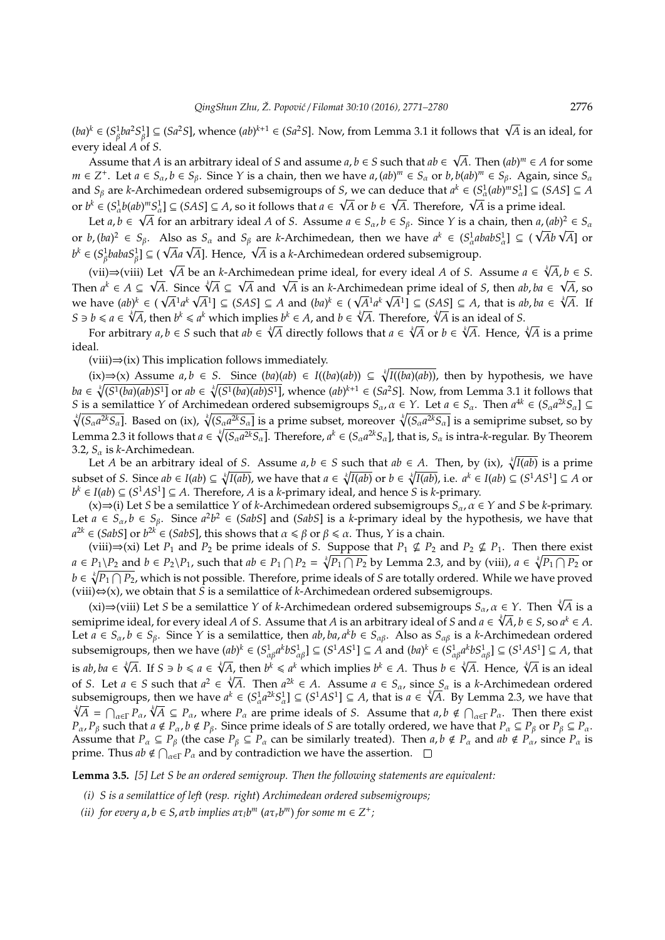$(ba)^k$  ∈  $(S^1_\beta ba^2S^1_\beta$ ] ⊆  $(Sa^2S]$ , whence  $(ab)^{k+1}$  ∈  $(Sa^2S]$ . Now, from Lemma 3.1 it follows that  $\sqrt{A}$  is an ideal, for every ideal *A* of *S*.

Assume that *A* is an arbitrary ideal of *S* and assume *a*, *b* ∈ *S* such that *ab* ∈ *A*. Then  $(ab)^m \in A$  for some  $m \in Z^+$ . Let  $a \in S_\alpha$ ,  $b \in S_\beta$ . Since Y is a chain, then we have  $a$ ,  $(ab)^m \in S_\alpha$  or  $b$ ,  $b(ab)^m \in S_\beta$ . Again, since  $S_\alpha$ and  $S_\beta$  are *k*-Archimedean ordered subsemigroups of *S*, we can deduce that  $a^k \in (S_\alpha^1(ab)^m S_\alpha^1] \subseteq (SAS) \subseteq A$ and  $S_\beta$  are *k*-Archimedean ordered subsemigroups or *S*, we can deduce that  $a^T \in (S_\alpha^A(a\theta)^m S_\alpha^A] \subseteq (SAS] \subseteq A$ , so it follows that  $a \in \sqrt{A}$  or  $b \in \sqrt{A}$ . Therefore,  $\sqrt{A}$  is a prime ideal.

Let  $a, b \in \sqrt{A}$  for an arbitrary ideal *A* of *S*. Assume  $a \in S_\alpha$ ,  $b \in S_\beta$ . Since *Y* is a chain, then  $a, (ab)^2 \in S_\alpha$ Let  $a, b \in \mathsf{V}A$  for an arbitrary ideal A of 5. Assume  $a \in S_\alpha$ ,  $b \in S_\beta$ . Since *Y* is a chain, then  $a, (ab)^2 \in S_\alpha$ <br>or  $b, (ba)^2 \in S_\beta$ . Also as  $S_\alpha$  and  $S_\beta$  are *k*-Archimedean, then we have  $a^k \in (S_\alpha^1 ababS_\alpha^1] \subseteq (\sqrt{Ab}\$ *b*  $\alpha$  (*b*<sub>*k*</sub> (*b*<sub>*a*</sub> *k*) =  $\beta$  *k*). Also as  $S_{\alpha}$  and  $S_{\beta}$  are *k*-Archimedean, then we have  $u^* \in (S_{\alpha}^* u, b^k \in (S_{\beta}^* babaS_{\beta}^1] \subseteq (\sqrt{A}a \sqrt{A}]$ . Hence,  $\sqrt{A}$  is a *k*-Archimedean ordered subsemigroup.

(vii)⇒(viii) Let  $\sqrt{A}$  be an *k*-Archimedean prime ideal, for every ideal *A* of *S*. Assume  $a \in \sqrt[k]{A}$ ,  $b \in S$ . (vii)⇒(viii) Let ∀*A* be an *k*-Archimedean prime ideal, for every ideal *A* of *S*. Assume  $a \in \sqrt{A}, b \in S$ .<br>Then  $a^k \in A \subseteq \sqrt{A}$ . Since  $\sqrt[k]{A} \subseteq \sqrt{A}$  and  $\sqrt{A}$  is an *k*-Archimedean prime ideal of *S*, then  $ab, ba \in \sqrt{$ we have  $(ab)^k \in (\sqrt{A}^1 a^k \sqrt{A}^1] \subseteq (SAS] \subseteq A$  and  $(ba)^k \in (\sqrt{A}^1 a^k \sqrt{A}^1] \subseteq (SAS] \subseteq A$ , that is  $ab, ba \in \sqrt[k]{A}$ . If we have  $(ab)^k \in (\sqrt{A}^1 a^k \sqrt{A}^1] \subseteq (SAS) \subseteq A$  and  $(ba)^k \in (\sqrt{A}^1 a^k \sqrt{A}^1] \subseteq (SAS) \subseteq A$ , that is an  $S \ni b \le a \in \sqrt[k]{A}$ , then  $b^k \le a^k$  which implies  $b^k \in A$ , and  $b \in \sqrt[k]{A}$ . Therefore,  $\sqrt[k]{A}$  is an ideal of S.

*b*  $\le$  *a*  $\in$  *VA*, then *b*<sup>\*</sup>  $\le$  *a*<sup>\*</sup> which implies *b*<sup>\*</sup>  $\in$  *A*, and *b*  $\in$  *VA*. Ineretore, *VA* is an ideal of *S*.<br>For arbitrary *a*, *b*  $\in$  *S* such that *ab*  $\in$   $\sqrt[k]{A}$  directly follows that *a* ideal.

(viii)⇒(ix) This implication follows immediately.

(ix)⇒(x) Assume *a*, *b* ∈ *S*. Since (*ba*)(*ab*) ∈ *I*((*ba*)(*ab*)) ⊆  $\sqrt[k]{I((ba)(ab))}$ , then by hypothesis, we have  $ba \in \sqrt[k]{(S^1(ba)(ab)S^1)}$  or  $ab \in \sqrt[k]{(S^1(ba)(ab)S^1)}$ , whence  $(ab)^{k+1} \in (Sa^2S]$ . Now, from Lemma 3.1 it follows that *S* is a semilattice *Y* of Archimedean ordered subsemigroups  $S_\alpha$ ,  $\alpha \in Y$ . Let  $a \in S_\alpha$ . Then  $a^{4k} \in (S_\alpha a^{2k} S_\alpha] \subseteq$  $\sqrt[k]{(S_{\alpha}a^{2k}S_{\alpha})}$ . Based on (ix),  $\sqrt[k]{(S_{\alpha}a^{2k}S_{\alpha})}$  is a prime subset, moreover  $\sqrt[k]{(S_{\alpha}a^{2k}S_{\alpha})}$  is a semiprime subset, so by Lemma 2.3 it follows that  $a \in \sqrt[k]{(S_{\alpha}a^{2k}S_{\alpha}]}$ . Therefore,  $a^k \in (S_{\alpha}a^{2k}S_{\alpha}]}$ , that is,  $S_{\alpha}$  is intra-*k*-regular. By Theorem 3.2,  $S_\alpha$  is *k*-Archimedean.

Let *A* be an arbitrary ideal of *S*. Assume  $a, b \in S$  such that  $ab \in A$ . Then, by (ix),  $\sqrt[k]{I(ab)}$  is a prime subset of S. Since  $ab \in I(ab) \subseteq \sqrt[k]{I(ab)}$ , we have that  $a \in \sqrt[k]{I(ab)}$  or  $b \in \sqrt[k]{I(ab)}$ , i.e.  $a^k \in I(ab) \subseteq (S^1AS^1] \subseteq A$  or *b*<sup>*k*</sup> ∈ *I*(*ab*) ⊆ (*S*<sup>1</sup>*AS*<sup>1</sup>] ⊆ *A*. Therefore, *A* is a *k*-primary ideal, and hence *S* is *k*-primary.

(x)⇒(i) Let *S* be a semilattice *Y* of *k*-Archimedean ordered subsemigroups *S*α, α ∈ *Y* and *S* be *k*-primary. Let  $a \in S_\alpha$ ,  $b \in S_\beta$ . Since  $a^2b^2 \in (SabS]$  and  $(SabS]$  is a *k*-primary ideal by the hypothesis, we have that  $a^{2k} \in (SabS]$  or  $b^{2k} \in (SabS]$ , this shows that  $\alpha \le \beta$  or  $\beta \le \alpha$ . Thus, *Y* is a chain.

(viii)⇒(xi) Let  $P_1$  and  $P_2$  be prime ideals of *S*. Suppose that  $P_1 \nsubseteq P_2$  and  $P_2 \nsubseteq P_1$ . Then there exist *a* ∈ *P*<sub>1</sub> \*P*<sub>2</sub> and *b* ∈ *P*<sub>2</sub> \*P*<sub>1</sub>, such that *ab* ∈ *P*<sub>1</sub>  $\cap$  *P*<sub>2</sub> =  $\sqrt[k]{P_1 \cap P_2}$  by Lemma 2.3, and by (viii), *a* ∈  $\sqrt[k]{P_1 \cap P_2}$  or *b* ∈  $\sqrt[k]{P_1 \cap P_2}$ , which is not possible. Therefore, prime ideals of *S* are totally ordered. While we have proved (viii)⇔(x), we obtain that *S* is a semilattice of *k*-Archimedean ordered subsemigroups.

(x) ⇒(x), we obtain that *S* is a semilattice of *k*-Archimedean ordered subsemigroups *S*<sub>α</sub>, *α* ∈ *Y*. Then √*A* is a  $\sim$  ∴ is a semilattice *Y* of *k*-Archimedean ordered subsemigroups *S*<sub>α</sub>, *α* ∈ *Y*. Then √*A* i semiprime ideal, for every ideal *A* of *S*. Assume that *A* is an arbitrary ideal of *S* and  $a \in \sqrt[k]{A}$ ,  $b \in S$ , so  $a^k \in A$ . Let  $a \in S_\alpha$ ,  $b \in S_\beta$ . Since *Y* is a semilattice, then  $ab$ ,  $ba$ ,  $a^kb \in S_{\alpha\beta}$ . Also as  $S_{\alpha\beta}$  is a *k*-Archimedean ordered subsemigroups, then we have  $(ab)^k \in (S_{\alpha\beta}^1 a^k b S_{\alpha\beta}^1] \subseteq (S^1AS^1] \subseteq A$  and  $(ba)^k \in (S_{\alpha\beta}^1 a^k b S_{\alpha\beta}^1] \subseteq (S^1AS^1] \subseteq A$ , that is ab,  $ba \in \sqrt[k]{A}$ . If  $S \ni b \le a \in \sqrt[k]{A}$ , then  $b^k \le a^k$  which implies  $b^k \in A$ . Thus  $b \in \sqrt[k]{A}$ . Hence,  $\sqrt[k]{A}$  is an ideal of *S*. Let *a* ∈ *S* such that  $a^2 \in \sqrt[k]{A}$ . Then  $a^{2k} \in A$ . Assume  $a \in S_\alpha$ , since  $S_\alpha$  is a *k*-Archimedean ordered subsemigroups, then we have  $a^k \in (S_a^1 a^{2k} S_a^1] \subseteq (S^1 A S^1] \subseteq A$ , that is  $a \in \sqrt[k]{A}$ . By Lemma 2.3, we have that  $\overline{A} = \bigcap_{\alpha \in \Gamma} P_{\alpha}$ ,  $\sqrt[k]{A} \subseteq P_{\alpha}$ , where  $P_{\alpha}$  are prime ideals of *S*. Assume that  $a, b \notin \bigcap_{\alpha \in \Gamma} P_{\alpha}$ . Then there exist *P*<sub>α</sub>, *P*<sub>β</sub> such that  $a \notin P_\alpha$ ,  $b \notin P_\beta$ . Since prime ideals of *S* are totally ordered, we have that  $P_\alpha \subseteq P_\beta$  or  $P_\beta \subseteq P_\alpha$ . Assume that  $P_\alpha \subseteq P_\beta$  (the case  $P_\beta \subseteq P_\alpha$  can be similarly treated). Then  $a, b \notin P_\alpha$  and  $ab \notin P_\alpha$ , since  $P_\alpha$  is prime. Thus  $ab \notin \bigcap_{\alpha \in \Gamma} P_{\alpha}$  and by contradiction we have the assertion.

**Lemma 3.5.** *[5] Let S be an ordered semigroup. Then the following statements are equivalent:*

- *(i) S is a semilattice of left* (*resp. right*) *Archimedean ordered subsemigroups;*
- (*ii*) for every  $a, b \in S$ ,  $a \tau b$  implies  $a \tau_i b^m$  ( $a \tau_i b^m$ ) for some  $m \in Z^+$ ;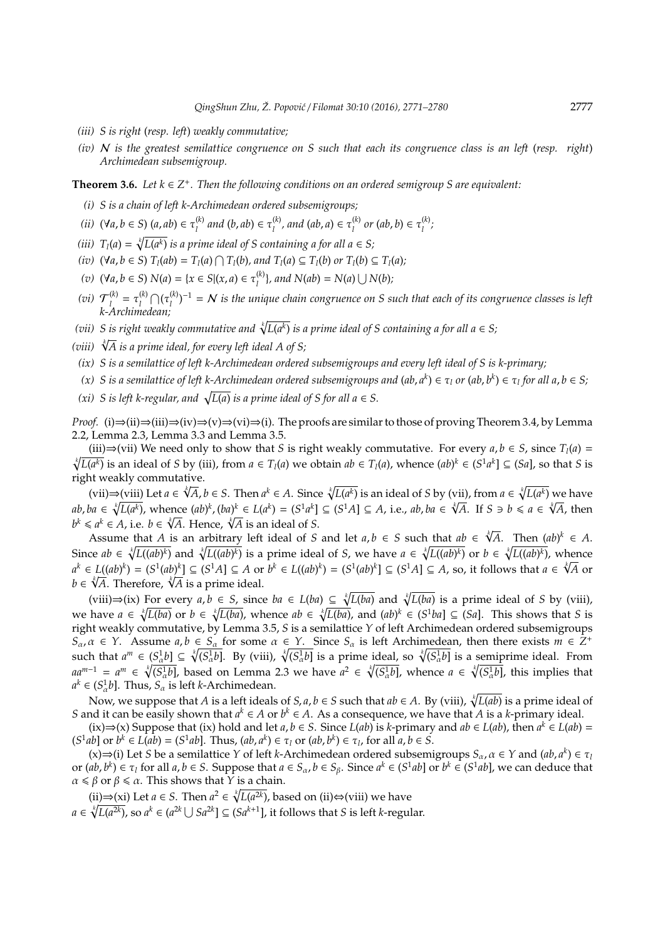- *(iii) S is right* (*resp. left*) *weakly commutative;*
- *(iv)* N *is the greatest semilattice congruence on S such that each its congruence class is an left* (*resp. right*) *Archimedean subsemigroup.*

# **Theorem 3.6.** *Let*  $k \in \mathbb{Z}^+$ *. Then the following conditions on an ordered semigroup S are equivalent:*

- *(i) S is a chain of left k-Archimedean ordered subsemigroups;*
- *(ii)* (∀*a*, *b* ∈ *S*) (*a*, *ab*) ∈ τ (*k*)  $\tau_l^{(k)}$  and  $(b, ab) \in \tau_l^{(k)}$  $\tau_l^{(k)}$ , and  $(ab, a) \in \tau_l^{(k)}$  $\tau_l^{(k)}$  or  $(ab, b) \in \tau_l^{(k)}$ *l ;*
- *(iii)*  $T_l(a) = \sqrt[k]{L(a^k)}$  is a prime ideal of S containing a for all  $a \in S$ ;
- (iv)  $(\forall a, b \in S) T_l(ab) = T_l(a) \cap T_l(b)$ , and  $T_l(a) \subseteq T_l(b)$  or  $T_l(b) \subseteq T_l(a)$ ;
- *(v)* (∀*a*, *b* ∈ *S*) *N*(*a*) = {*x* ∈ *S*|(*x*, *a*) ∈ τ (*k*)  $\binom{k}{l}$ , and  $N(ab) = N(a) \cup N(b)$ ;
- (*vi*)  $\mathcal{T}_1^{(k)}$  $\tau_l^{(k)} = \tau_l^{(k)}$  $\bigcap_l (k) \bigcap_{l} (\tau_l^{(k)}$ (<sup>k)</sup>)<sup>−1</sup> =  $N$  is the unique chain congruence on S such that each of its congruence classes is left *k-Archimedean;*
- (vii) S is right weakly commutative and  $\sqrt[k]{L(a^k)}$  is a prime ideal of S containing a for all a  $\in$  S;
- *(viii)* <sup>√</sup>*<sup>k</sup> A is a prime ideal, for every left ideal A of S;*
- *(ix) S is a semilattice of left k-Archimedean ordered subsemigroups and every left ideal of S is k-primary;*
- *(x)* S is a semilattice of left k-Archimedean ordered subsemigroups and (ab, a<sup>k</sup>) ∈ τ<sub>l</sub> or (ab, b<sup>k</sup>) ∈ τ<sub>l</sub> for all a, b ∈ S;
- *(xi) S* is left *k*-regular, and  $\sqrt{L(a)}$  is a prime ideal of *S* for all  $a \in S$ .

*Proof.* (i)⇒(ii)⇒(iii)⇒(iv)⇒(v)⇒(vi)⇒(i). The proofs are similar to those of proving Theorem 3.4, by Lemma 2.2, Lemma 2.3, Lemma 3.3 and Lemma 3.5.

(iii)⇒(vii) We need only to show that *S* is right weakly commutative. For every  $a, b \in S$ , since  $T<sub>l</sub>(a)$  =  $\sqrt[k]{L(a^k)}$  is an ideal of S by (iii), from  $a \in T_l(a)$  we obtain  $ab \in T_l(a)$ , whence  $(ab)^k \in (S^1a^k] \subseteq (Sa)$ , so that S is right weakly commutative. √*k*

(vii)  $\Rightarrow$  (viii) Let  $a \in \sqrt[k]{A}$ ,  $b \in S$ . Then  $a^k \in A$ . Since  $\sqrt[k]{L(a^k)}$  is an ideal of S by (vii), from  $a \in \sqrt[k]{L(a^k)}$  we have  $ab, ba \in \sqrt[k]{L(a^k)}$ , whence  $(ab)^k$ ,  $(ba)^k \in L(a^k) = (S^1a^k] \subseteq (S^1A] \subseteq A$ , i.e.,  $ab, ba \in \sqrt[k]{A}$ . If  $S \ni b \le a \in \sqrt[k]{A}$ , then *ab*, *ba* ∈  $\sqrt{L(a^n)}$ , whence  $(ab)^n$ ,  $(ba)^n$  ∈  $L(a^n)$  =  $(S^a)^n$  *b*<sup>*k*</sup> ≤ *a<sup><i>k*</sup> ∈ *A*, i.e. *b* ∈  $\sqrt[n]{A}$ . Hence,  $\sqrt[n]{A}$  is an ideal of *S*.

Assume that *A* is an arbitrary left ideal of *S* and let *a*, *b* ∈ *S* such that *ab* ∈ √*k A*. Then (*ab*) *<sup>k</sup>* ∈ *A*. Since  $ab \in \sqrt[k]{L((ab)^k)}$  and  $\sqrt[k]{L((ab)^k)}$  is a prime ideal of *S*, we have  $a \in \sqrt[k]{L((ab)^k)}$  or  $b \in \sqrt[k]{L((ab)^k)}$ , whence  $a^k \in L((ab)^k) = (S^1(ab)^k) \subseteq (S^1A) \subseteq A$  or  $b^k \in L((ab)^k) = (S^1(ab)^k) \subseteq (S^1A) \subseteq A$ , so, it follows that  $a \in \sqrt[k]{A}$  or *a*<sup>*∗*</sup> ∈ *L*((*ab*)<sup>*∗*</sup>) = (*S*<sup>*t*</sup>(*ab*)<sup>*∗*</sup>] ⊆ (*S<sup><i>t*</sup>A] ⊆ *A* or<br>*b* ∈ √*A*. Therefore, √*A* is a prime ideal.

(viii)⇒(ix) For every  $a, b \in S$ , since  $ba \in L(ba) \subseteq \sqrt[k]{L(ba)}$  and  $\sqrt[k]{L(ba)}$  is a prime ideal of *S* by (viii), we have  $a \in \sqrt[k]{L(ba)}$  or  $b \in \sqrt[k]{L(ba)}$ , whence  $ab \in \sqrt[k]{L(ba)}$ , and  $(ab)^k \in (S^1ba] \subseteq (Sa]$ . This shows that S is right weakly commutative, by Lemma 3.5, *S* is a semilattice *Y* of left Archimedean ordered subsemigroups  $S_{\alpha}, \alpha \in Y$ . Assume  $a, b \in S_{\alpha}$  for some  $\alpha \in Y$ . Since  $S_{\alpha}$  is left Archimedean, then there exists  $m \in \mathbb{Z}^+$ such that  $a^m \in (S^1_\alpha b] \subseteq \sqrt[k]{(S^1_\alpha b]}$ . By (viii),  $\sqrt[k]{(S^1_\alpha b]}$  is a prime ideal, so  $\sqrt[k]{(S^1_\alpha b]}$  is a semiprime ideal. From  $aa^{m-1} = a^m \in \sqrt[k]{(S_a^1 b]}$ , based on Lemma 2.3 we have  $a^2 \in \sqrt[k]{(S_a^1 b]}$ , whence  $a \in \sqrt[k]{(S_a^1 b]}$ , this implies that  $a^k \in (S^1_\alpha b]$ . Thus,  $S_\alpha$  is left *k*-Archimedean.

Now, we suppose that *A* is a left ideals of *S, a, b*  $\in$  *S* such that  $ab \in A$ . By (viii),  $\sqrt[k]{L(ab)}$  is a prime ideal of *S* and it can be easily shown that  $a^k \in A$  or  $b^k \in A$ . As a consequence, we have that *A* is a *k*-primary ideal.

(ix)⇒(x) Suppose that (ix) hold and let *a*, *b* ∈ *S*. Since *L*(*ab*) is *k*-primary and *ab* ∈ *L*(*ab*), then  $a^k$  ∈ *L*(*ab*) =  $(S^1ab]$  or  $b^k \in L(ab) = (S^1ab]$ . Thus,  $(ab, a^k) \in \tau_l$  or  $(ab, b^k) \in \tau_l$ , for all  $a, b \in S$ .

(x)⇒(i) Let *S* be a semilattice *Y* of left *k*-Archimedean ordered subsemigroups  $S_\alpha$ ,  $\alpha \in Y$  and  $(ab, a^k) \in \tau$ or  $(ab, b^k) \in \tau_l$  for all  $a, b \in S$ . Suppose that  $a \in S_\alpha$ ,  $b \in S_\beta$ . Since  $a^k \in (S^1ab]$  or  $b^k \in (S^1ab)$ , we can deduce that  $\alpha \leq \beta$  or  $\beta \leq \alpha$ . This shows that  $\hat{Y}$  is a chain.

(ii)⇒(xi) Let *a* ∈ *S*. Then *a*<sup>2</sup> ∈  $\sqrt[k]{L(a^{2k})}$ , based on (ii)⇔(viii) we have *a* ∈  $\sqrt[k]{L(a^{2k})}$ , so *a*<sup>*k*</sup> ∈ (*a*<sup>2*k*</sup> ∪ *Sa*<sup>2*k*</sup>] ⊆ (*Sa<sup>k+1</sup>*], it follows that *S* is left *k*-regular.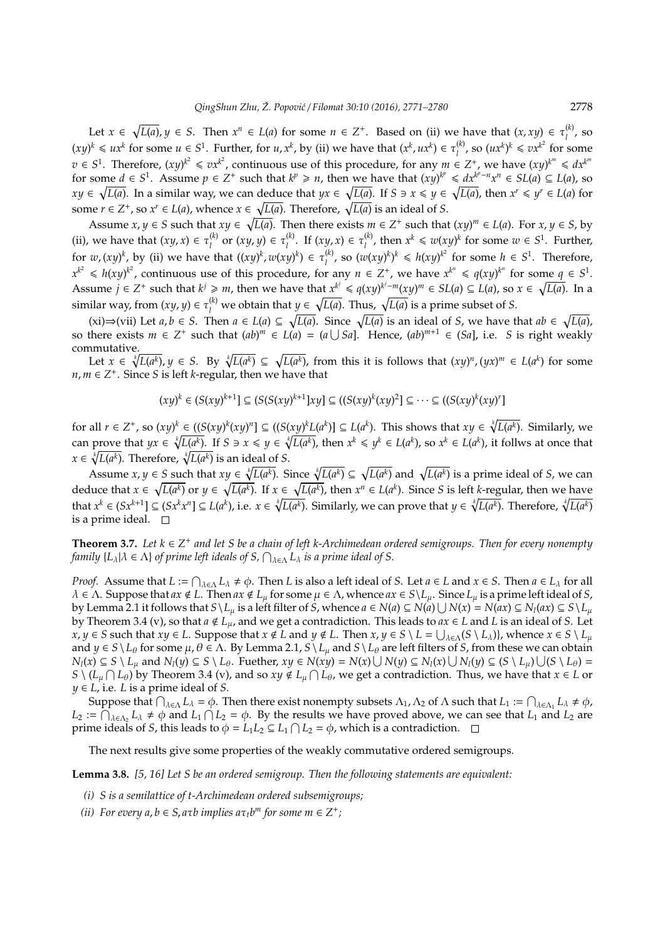Let  $x \in \sqrt{L(a)}$ ,  $y \in S$ . Then  $x^n \in L(a)$  for some  $n \in \mathbb{Z}^+$ . Based on (ii) we have that  $(x, xy) \in \tau_i^{(k)}$ , so *l*  $(xy)^k \leq u x^k$  for some  $u \in S^1$ . Further, for  $u, x^k$ , by (ii) we have that  $(x^k, ux^k) \in \tau_i^{(k)}$  $\binom{k}{l}$ , so  $(ux^k)^k \leqslant vx^{k^2}$  for some *v* ∈ *S*<sup>1</sup>. Therefore,  $(xy)^{k^2}$  ≤  $vx^{k^2}$ , continuous use of this procedure, for any  $m \in Z^+$ , we have  $(xy)^{k^m}$  ≤  $dx^{k^m}$ for some  $d \in S^1$ . Assume  $p \in Z^+$  such that  $k^p \ge n$ , then we have that  $(xy)^{k^p} \le dx^{k^p-n} x^n \in SL(a) \subseteq L(a)$ , so  $xy \in \sqrt{L(a)}$ . In a similar way, we can deduce that  $yx \in \sqrt{L(a)}$ . If  $S \ni x \leq y \in \sqrt{L(a)}$ , then  $x^r \leq y^r \in L(a)$  for some  $r \in Z^+$ , so  $x^r \in L(a)$ , whence  $x \in \sqrt{L(a)}$ . Therefore,  $\sqrt{L(a)}$  is an ideal of *S*.

Assume  $x, y \in S$  such that  $xy \in \sqrt{L(a)}$ . Then there exists  $m \in Z^+$  such that  $(xy)^m \in L(a)$ . For  $x, y \in S$ , by (ii), we have that  $(xy, x) \in \tau_1^{(k)}$  $\tau_l^{(k)}$  or  $(xy, y) \in \tau_l^{(k)}$  $\tau_l^{(k)}$ . If  $(xy, x) \in \tau_l^{(k)}$ *l*<sup>(*k*</sup>), then *x<sup>k</sup>* ≤ *w*(*xy*)<sup>*k*</sup> for some *w* ∈ *S*<sup>1</sup>. Further, for  $w$ ,  $(xy)^k$ , by (ii) we have that  $((xy)^k, w(xy)^k) \in \tau_1^{(k)}$ *l*<sup>(*k*</sup>)</sup>, so  $(w(xy)^k)^k$  ≤ *h*(*xy*)<sup> $k^2$ </sup> for some *h* ∈ *S*<sup>1</sup>. Therefore,  $x^{k^2} \le h(xy)^{k^2}$ , continuous use of this procedure, for any  $n \in \mathbb{Z}^+$ , we have  $x^{k^n} \le q(xy)^{k^n}$  for some  $q \in \mathbb{S}^1$ . Assume  $j \in \mathbb{Z}^+$  such that  $k^j \geq m$ , then we have that  $x^{k^j} \leq q(xy)^{k^j-m}(xy)^m \in SL(a) \subseteq L(a)$ , so  $x \in \sqrt{L(a)}$ . In a similar way, from  $(xy, y) \in \tau_l^{(k)}$  we obtain that  $y \in \sqrt{L(a)}$ . Thus,  $\sqrt{L(a)}$  is a prime subset of *S*.

(xi)⇒(vii) Let *a*, *b* ∈ *S*. Then  $a \in L(a) \subseteq \sqrt{L(a)}$ . Since  $\sqrt{L(a)}$  is an ideal of *S*, we have that  $ab \in \sqrt{L(a)}$ , so there exists  $m \in \mathbb{Z}^+$  such that  $(ab)^m \in L(a) = (a \cup Sa]$ . Hence,  $(ab)^{m+1} \in (Sa]$ , i.e. *S* is right weakly commutative.

Let  $x \in \sqrt[k]{L(a^k)}$ ,  $y \in S$ . By  $\sqrt[k]{L(a^k)} \subseteq \sqrt{L(a^k)}$ , from this it is follows that  $(xy)^n$ ,  $(yx)^m \in L(a^k)$  for some *n*, *m* ∈  $Z$ <sup>+</sup>. Since *S* is left *k*-regular, then we have that

$$
(xy)^k \in (S(xy)^{k+1}] \subseteq (S(S(xy)^{k+1}]xy] \subseteq ((S(xy)^k(xy)^2] \subseteq \cdots \subseteq ((S(xy)^k(xy)^r])
$$

for all  $r \in Z^+$ , so  $(xy)^k \in ((S(xy)^k(xy)^n) \subseteq ((S(xy)^kL(a^k)) \subseteq L(a^k)$ . This shows that  $xy \in \sqrt[k]{L(a^k)}$ . Similarly, we can prove that  $yx \in \sqrt[k]{L(a^k)}$ . If  $S \ni x \leq y \in \sqrt[k]{L(a^k)}$ , then  $x^k \leq y^k \in L(a^k)$ , so  $x^k \in L(a^k)$ , it follws at once that *x* ∈  $\sqrt[k]{L(a^k)}$ . Therefore,  $\sqrt[k]{L(a^k)}$  is an ideal of *S*.

Assume  $x, y \in S$  such that  $xy \in \sqrt[k]{L(a^k)}$ . Since  $\sqrt[k]{L(a^k)} \subseteq \sqrt{L(a^k)}$  and  $\sqrt{L(a^k)}$  is a prime ideal of S, we can deduce that  $x \in \sqrt{L(a^k)}$  or  $y \in \sqrt{L(a^k)}$ . If  $x \in \sqrt{L(a^k)}$ , then  $x^n \in L(a^k)$ . Since S is left k-regular, then we have that  $x^k \in (Sx^{k+1}] \subseteq (Sx^k x^n] \subseteq L(a^k)$ , i.e.  $x \in \sqrt[k]{L(a^k)}$ . Similarly, we can prove that  $y \in \sqrt[k]{L(a^k)}$ . Therefore,  $\sqrt[k]{L(a^k)}$ is a prime ideal.  $\square$ 

**Theorem 3.7.** Let  $k \in \mathbb{Z}^+$  and let S be a chain of left k-Archimedean ordered semigroups. Then for every nonempty *family*  $\{L_\lambda | \lambda \in \Lambda\}$  *of prime left ideals of S,*  $\bigcap_{\lambda \in \Lambda} L_\lambda$  *is a prime ideal of S.* 

*Proof.* Assume that  $L := \bigcap_{\lambda \in \Lambda} L_\lambda \neq \phi$ . Then *L* is also a left ideal of *S*. Let  $a \in L$  and  $x \in S$ . Then  $a \in L_\lambda$  for all  $\lambda \in \Lambda$ . Suppose that  $ax \notin L$ . Then  $ax \notin L_\mu$  for some  $\mu \in \Lambda$ , whence  $ax \in S \setminus L_\mu$ . Since  $L_\mu$  is a prime left ideal of *S*, by Lemma 2.1 it follows that  $S\setminus L_\mu$  is a left filter of S, whence  $a\in N(a)\subseteq N(a)\cup N(x)=N(ax)\subseteq N_l(ax)\subseteq S\setminus L_\mu$ by Theorem 3.4 (v), so that  $a \notin L_{\mu}$ , and we get a contradiction. This leads to  $ax \in L$  and *L* is an ideal of *S*. Let  $x, y \in S$  such that  $xy \in L$ . Suppose that  $x \notin L$  and  $y \notin L$ . Then  $x, y \in S \setminus L = \bigcup_{\lambda \in \Lambda} (S \setminus L_{\lambda})\}$ , whence  $x \in S \setminus L_{\mu}$ and  $y \in S \setminus L_\theta$  for some  $\mu$ ,  $\theta \in \Lambda$ . By Lemma 2.1,  $S \setminus L_\mu$  and  $S \setminus L_\theta$  are left filters of *S*, from these we can obtain  $N_l(x) \subseteq S \setminus L_\mu$  and  $N_l(y) \subseteq S \setminus L_\theta$ . Fuether,  $xy \in N(xy) = N(x) \cup N(y) \subseteq N_l(x) \cup N_l(y) \subseteq (S \setminus L_\mu) \cup (S \setminus L_\theta) =$  $S \setminus (L_\mu \cap L_\theta)$  by Theorem 3.4 (v), and so  $xy \notin L_\mu \cap L_\theta$ , we get a contradiction. Thus, we have that  $x \in L$  or  $y \in L$ , i.e. *L* is a prime ideal of *S*.

Suppose that  $\bigcap_{\lambda \in \Lambda} L_{\lambda} = \phi$ . Then there exist nonempty subsets  $\Lambda_1$ ,  $\Lambda_2$  of  $\Lambda$  such that  $L_1 := \bigcap_{\lambda \in \Lambda_1} L_{\lambda} \neq \phi$ ,  $L_2 := \bigcap_{\lambda \in \Lambda_2} L_\lambda \neq \emptyset$  and  $L_1 \bigcap L_2 = \emptyset$ . By the results we have proved above, we can see that  $L_1$  and  $L_2$  are prime ideals of *S*, this leads to  $\phi = L_1 L_2 \subseteq L_1 \cap L_2 = \phi$ , which is a contradiction.

The next results give some properties of the weakly commutative ordered semigroups.

**Lemma 3.8.** *[5, 16] Let S be an ordered semigroup. Then the following statements are equivalent:*

- *(i) S is a semilattice of t-Archimedean ordered subsemigroups;*
- (*ii*) For every  $a, b \in S$ ,  $a\tau b$  implies  $a\tau_t b^m$  for some  $m \in \mathbb{Z}^+$ ;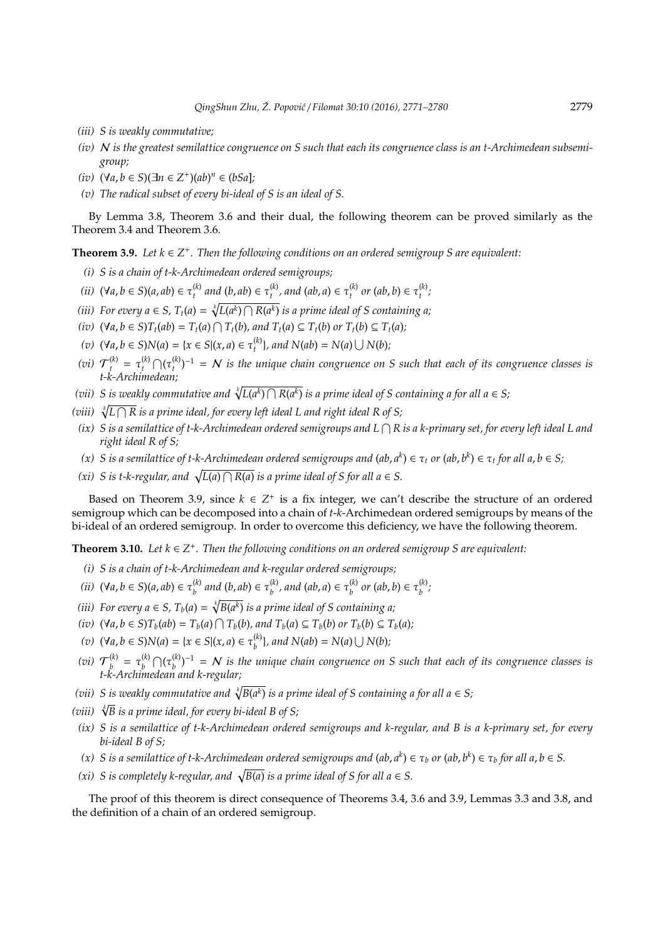- *(iii) S is weakly commutative;*
- *(iv)* N *is the greatest semilattice congruence on S such that each its congruence class is an t-Archimedean subsemigroup;*
- $(iv)$   $(∀a, b ∈ S)(∃n ∈ Z<sup>+</sup>)(ab)<sup>n</sup> ∈ (bSa];$
- *(v) The radical subset of every bi-ideal of S is an ideal of S.*

By Lemma 3.8, Theorem 3.6 and their dual, the following theorem can be proved similarly as the Theorem 3.4 and Theorem 3.6.

**Theorem 3.9.** Let  $k ∈ Z^+$ . Then the following conditions on an ordered semigroup S are equivalent:

- *(i) S is a chain of t-k-Archimedean ordered semigroups;*
- $(iii)$   $(\forall a, b \in S)$  $(a, ab) \in \tau_t^{(k)}$  $\tau_t^{(k)}$  and  $(b, ab) \in \tau_t^{(k)}$  $t_t^{(k)}$ , and  $(ab, a) \in \tau_t^{(k)}$  $t_t^{(k)}$  *or*  $(ab, b) \in \tau_t^{(k)}$ *t ;*
- *(iii)* For every  $a \in S$ ,  $T_t(a) = \sqrt[k]{L(a^k) \cap R(a^k)}$  is a prime ideal of S containing a;
- (iv)  $(\forall a, b \in S)T_t(ab) = T_t(a) \cap T_t(b)$ , and  $T_t(a) \subseteq T_t(b)$  or  $T_t(b) \subseteq T_t(a)$ ;
- *(v)* (∀*a*, *b* ∈ *S*)*N*(*a*) = {*x* ∈ *S*|(*x*, *a*) ∈ τ (*k*)  $\binom{k}{t}$ , and  $N(ab) = N(a) \cup N(b)$ ;
- *(vi)*  $\mathcal{T}_{t}^{(k)} = \tau_{t}^{(k)}$  $\bigcap_t$ <sup>(k)</sup>  $\bigcap_t$   $(\tau_t^{(k)}$  $t_t^{(k)}$  $t^{-1} = N$  *is the unique chain congruence on S such that each of its congruence classes is t-k-Archimedean;*
- (vii) S is weakly commutative and  $\sqrt[k]{L(a^k) \cap R(a^k)}$  is a prime ideal of S containing a for all  $a \in S$ ;
- (viii)  $\sqrt[k]{L \cap R}$  is a prime ideal, for every left ideal L and right ideal R of S;
- *(ix) S is a semilattice of t-k-Archimedean ordered semigroups and L* T *R is a k-primary set, for every left ideal L and right ideal R of S;*
- *(x) S* is a semilattice of t-k-Archimedean ordered semigroups and (ab, a<sup>k</sup>) ∈ τ<sub>t</sub> or (ab, b<sup>k</sup>) ∈ τ<sub>t</sub> for all a, b ∈ S;
- *(xi) S* is *t*-*k*-regular, and  $\sqrt{L(a) \cap R(a)}$  is a prime ideal of *S* for all  $a \in S$ .

Based on Theorem 3.9, since  $k \in \mathbb{Z}^+$  is a fix integer, we can't describe the structure of an ordered semigroup which can be decomposed into a chain of *t*-*k*-Archimedean ordered semigroups by means of the bi-ideal of an ordered semigroup. In order to overcome this deficiency, we have the following theorem.

**Theorem 3.10.** Let  $k \in \mathbb{Z}^+$ . Then the following conditions on an ordered semigroup S are equivalent:

- *(i) S is a chain of t-k-Archimedean and k-regular ordered semigroups;*
- *(ii)* (∀*a*, *b* ∈ *S*)(*a*, *ab*) ∈ τ (*k*)  $b<sup>(k)</sup>$  and (*b*, ab) ∈ τ $b<sup>(k)</sup>$  $\binom{k}{b}$ , and  $(ab, a) \in \tau_b^{(k)}$  $b^{(k)}$  *or*  $(ab, b) \in \tau_b^{(k)}$ *b ;*
- *(iii)* For every  $a \in S$ ,  $T_b(a) = \sqrt[k]{B(a^k)}$  is a prime ideal of S containing a;
- (iv)  $(\forall a, b \in S)T_b(ab) = T_b(a) \cap T_b(b)$ , and  $T_b(a) \subseteq T_b(b)$  or  $T_b(b) \subseteq T_b(a)$ ;
- *(v)* (∀*a*, *b* ∈ *S*)*N*(*a*) = {*x* ∈ *S*|(*x*, *a*) ∈ τ (*k*)  $b^{(k)}$ , and  $N(ab) = N(a) \cup N(b)$ ;
- (*vi*)  $\mathcal{T}_h^{(k)}$  $\begin{pmatrix} k \\ b \end{pmatrix} = \tau_b^{(k)}$  $\bigcap_b (h) \bigcap (\tau_b^{(k)}$  $(b)$ <sub>b</sub> $(b)$ <sup>-1</sup> = N is the unique chain congruence on S such that each of its congruence classes is *t-k-Archimedean and k-regular;*
- (vii) S is weakly commutative and  $\sqrt[k]{B(a^k)}$  is a prime ideal of S containing a for all a  $\in$  S;
- *(viii)* <sup>√</sup>*<sup>k</sup> B is a prime ideal, for every bi-ideal B of S;*
- *(ix) S is a semilattice of t-k-Archimedean ordered semigroups and k-regular, and B is a k-primary set, for every bi-ideal B of S;*
- *(x) S* is a semilattice of t-k-Archimedean ordered semigroups and  $(ab, a^k) \in \tau_b$  or  $(ab, b^k) \in \tau_b$  for all  $a, b \in S$ .
- *(xi) S* is completely k-regular, and  $\sqrt{B(a)}$  is a prime ideal of *S* for all  $a \in S$ .

The proof of this theorem is direct consequence of Theorems 3.4, 3.6 and 3.9, Lemmas 3.3 and 3.8, and the definition of a chain of an ordered semigroup.